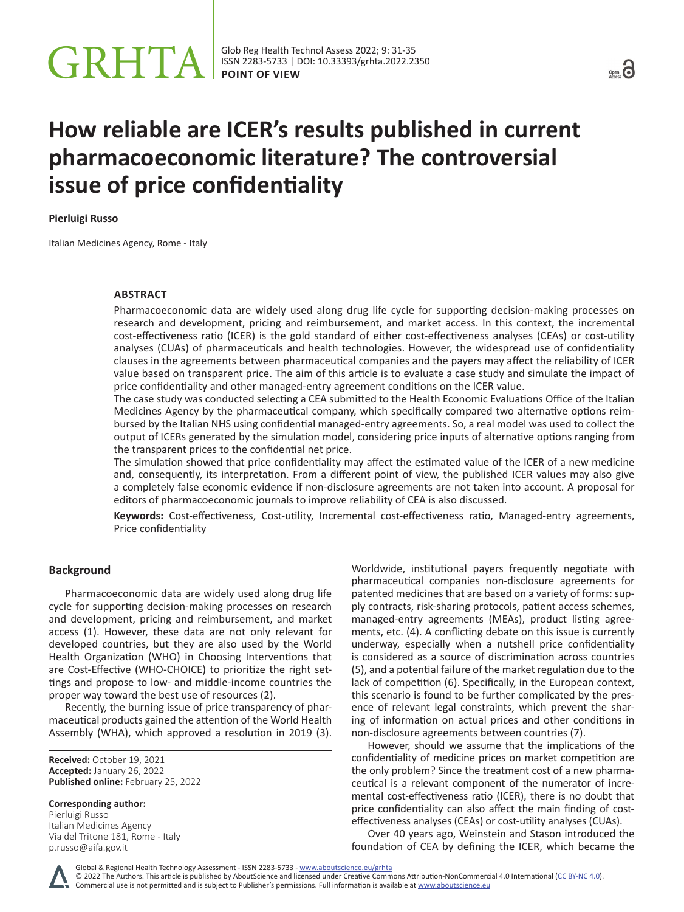

# **How reliable are ICER's results published in current pharmacoeconomic literature? The controversial issue of price confidentiality**

**Pierluigi Russo**

Italian Medicines Agency, Rome - Italy

# **ABSTRACT**

Pharmacoeconomic data are widely used along drug life cycle for supporting decision-making processes on research and development, pricing and reimbursement, and market access. In this context, the incremental cost-effectiveness ratio (ICER) is the gold standard of either cost-effectiveness analyses (CEAs) or cost-utility analyses (CUAs) of pharmaceuticals and health technologies. However, the widespread use of confidentiality clauses in the agreements between pharmaceutical companies and the payers may affect the reliability of ICER value based on transparent price. The aim of this article is to evaluate a case study and simulate the impact of price confidentiality and other managed-entry agreement conditions on the ICER value.

The case study was conducted selecting a CEA submitted to the Health Economic Evaluations Office of the Italian Medicines Agency by the pharmaceutical company, which specifically compared two alternative options reimbursed by the Italian NHS using confidential managed-entry agreements. So, a real model was used to collect the output of ICERs generated by the simulation model, considering price inputs of alternative options ranging from the transparent prices to the confidential net price.

The simulation showed that price confidentiality may affect the estimated value of the ICER of a new medicine and, consequently, its interpretation. From a different point of view, the published ICER values may also give a completely false economic evidence if non-disclosure agreements are not taken into account. A proposal for editors of pharmacoeconomic journals to improve reliability of CEA is also discussed.

**Keywords:** Cost-effectiveness, Cost-utility, Incremental cost-effectiveness ratio, Managed-entry agreements, Price confidentiality

# **Background**

Pharmacoeconomic data are widely used along drug life cycle for supporting decision-making processes on research and development, pricing and reimbursement, and market access (1). However, these data are not only relevant for developed countries, but they are also used by the World Health Organization (WHO) in Choosing Interventions that are Cost-Effective (WHO-CHOICE) to prioritize the right settings and propose to low- and middle-income countries the proper way toward the best use of resources (2).

Recently, the burning issue of price transparency of pharmaceutical products gained the attention of the World Health Assembly (WHA), which approved a resolution in 2019 (3).

**Received:** October 19, 2021 **Accepted:** January 26, 2022 **Published online:** February 25, 2022

**Corresponding author:** Pierluigi Russo

Italian Medicines Agency Via del Tritone 181, Rome - Italy p.russo@aifa.gov.it

Worldwide, institutional payers frequently negotiate with pharmaceutical companies non-disclosure agreements for patented medicines that are based on a variety of forms: supply contracts, risk-sharing protocols, patient access schemes, managed-entry agreements (MEAs), product listing agreements, etc. (4). A conflicting debate on this issue is currently underway, especially when a nutshell price confidentiality is considered as a source of discrimination across countries (5), and a potential failure of the market regulation due to the lack of competition (6). Specifically, in the European context, this scenario is found to be further complicated by the presence of relevant legal constraints, which prevent the sharing of information on actual prices and other conditions in non-disclosure agreements between countries (7).

However, should we assume that the implications of the confidentiality of medicine prices on market competition are the only problem? Since the treatment cost of a new pharmaceutical is a relevant component of the numerator of incremental cost-effectiveness ratio (ICER), there is no doubt that price confidentiality can also affect the main finding of costeffectiveness analyses (CEAs) or cost-utility analyses (CUAs).

Over 40 years ago, Weinstein and Stason introduced the foundation of CEA by defining the ICER, which became the



Commercial use is not permitted and is subject to Publisher's permissions. Full information is available at www.aboutscience.eu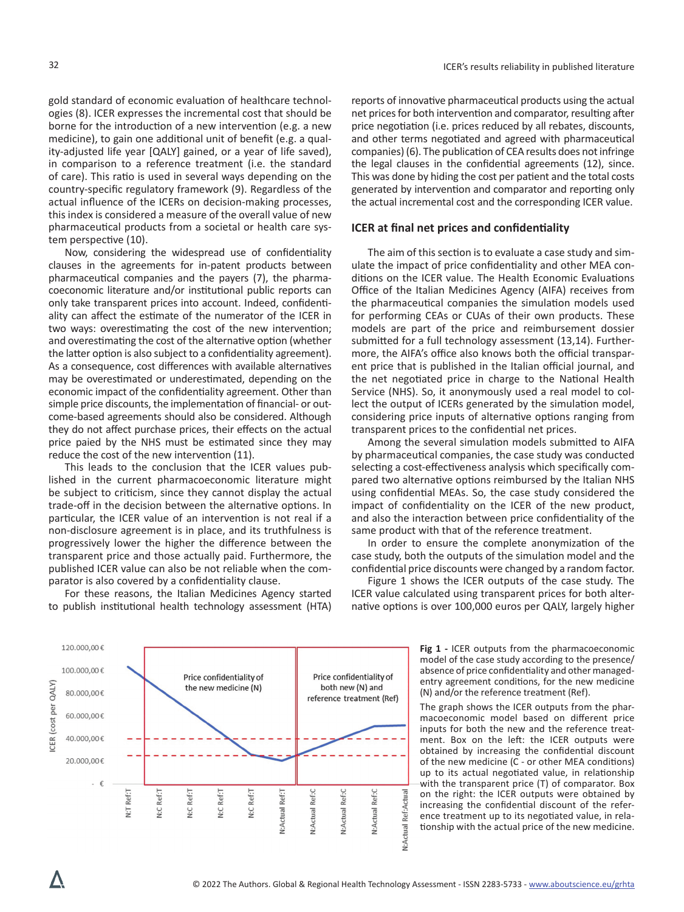gold standard of economic evaluation of healthcare technologies (8). ICER expresses the incremental cost that should be borne for the introduction of a new intervention (e.g. a new medicine), to gain one additional unit of benefit (e.g. a quality-adjusted life year [QALY] gained, or a year of life saved), in comparison to a reference treatment (i.e. the standard of care). This ratio is used in several ways depending on the country-specific regulatory framework (9). Regardless of the actual influence of the ICERs on decision-making processes, this index is considered a measure of the overall value of new pharmaceutical products from a societal or health care system perspective (10).

Now, considering the widespread use of confidentiality clauses in the agreements for in-patent products between pharmaceutical companies and the payers (7), the pharmacoeconomic literature and/or institutional public reports can only take transparent prices into account. Indeed, confidentiality can affect the estimate of the numerator of the ICER in two ways: overestimating the cost of the new intervention; and overestimating the cost of the alternative option (whether the latter option is also subject to a confidentiality agreement). As a consequence, cost differences with available alternatives may be overestimated or underestimated, depending on the economic impact of the confidentiality agreement. Other than simple price discounts, the implementation of financial- or outcome-based agreements should also be considered. Although they do not affect purchase prices, their effects on the actual price paied by the NHS must be estimated since they may reduce the cost of the new intervention (11).

This leads to the conclusion that the ICER values published in the current pharmacoeconomic literature might be subject to criticism, since they cannot display the actual trade-off in the decision between the alternative options. In particular, the ICER value of an intervention is not real if a non-disclosure agreement is in place, and its truthfulness is progressively lower the higher the difference between the transparent price and those actually paid. Furthermore, the published ICER value can also be not reliable when the comparator is also covered by a confidentiality clause.

For these reasons, the Italian Medicines Agency started to publish institutional health technology assessment (HTA) reports of innovative pharmaceutical products using the actual net prices for both intervention and comparator, resulting after price negotiation (i.e. prices reduced by all rebates, discounts, and other terms negotiated and agreed with pharmaceutical companies) (6). The publication of CEA results does not infringe the legal clauses in the confidential agreements (12), since. This was done by hiding the cost per patient and the total costs generated by intervention and comparator and reporting only the actual incremental cost and the corresponding ICER value.

### **ICER at final net prices and confidentiality**

The aim of this section is to evaluate a case study and simulate the impact of price confidentiality and other MEA conditions on the ICER value. The Health Economic Evaluations Office of the Italian Medicines Agency (AIFA) receives from the pharmaceutical companies the simulation models used for performing CEAs or CUAs of their own products. These models are part of the price and reimbursement dossier submitted for a full technology assessment (13,14). Furthermore, the AIFA's office also knows both the official transparent price that is published in the Italian official journal, and the net negotiated price in charge to the National Health Service (NHS). So, it anonymously used a real model to collect the output of ICERs generated by the simulation model, considering price inputs of alternative options ranging from transparent prices to the confidential net prices.

Among the several simulation models submitted to AIFA by pharmaceutical companies, the case study was conducted selecting a cost-effectiveness analysis which specifically compared two alternative options reimbursed by the Italian NHS using confidential MEAs. So, the case study considered the impact of confidentiality on the ICER of the new product, and also the interaction between price confidentiality of the same product with that of the reference treatment.

In order to ensure the complete anonymization of the case study, both the outputs of the simulation model and the confidential price discounts were changed by a random factor.

Figure 1 shows the ICER outputs of the case study. The ICER value calculated using transparent prices for both alternative options is over 100,000 euros per QALY, largely higher

> **Fig 1 -** ICER outputs from the pharmacoeconomic model of the case study according to the presence/ absence of price confidentiality and other managedentry agreement conditions, for the new medicine (N) and/or the reference treatment (Ref).

> The graph shows the ICER outputs from the pharmacoeconomic model based on different price inputs for both the new and the reference treatment. Box on the left: the ICER outputs were obtained by increasing the confidential discount of the new medicine (C - or other MEA conditions) up to its actual negotiated value, in relationship with the transparent price (T) of comparator. Box on the right: the ICER outputs were obtained by increasing the confidential discount of the reference treatment up to its negotiated value, in relationship with the actual price of the new medicine.

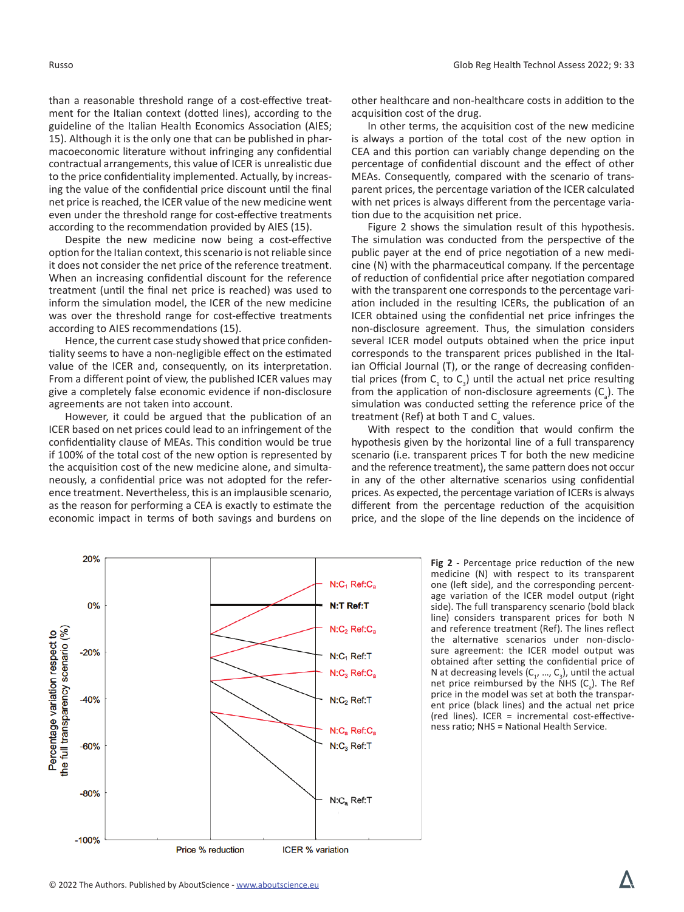than a reasonable threshold range of a cost-effective treatment for the Italian context (dotted lines), according to the guideline of the Italian Health Economics Association (AIES; 15). Although it is the only one that can be published in pharmacoeconomic literature without infringing any confidential contractual arrangements, this value of ICER is unrealistic due to the price confidentiality implemented. Actually, by increasing the value of the confidential price discount until the final net price is reached, the ICER value of the new medicine went even under the threshold range for cost-effective treatments according to the recommendation provided by AIES (15).

Despite the new medicine now being a cost-effective option for the Italian context, this scenario is not reliable since it does not consider the net price of the reference treatment. When an increasing confidential discount for the reference treatment (until the final net price is reached) was used to inform the simulation model, the ICER of the new medicine was over the threshold range for cost-effective treatments according to AIES recommendations (15).

Hence, the current case study showed that price confidentiality seems to have a non-negligible effect on the estimated value of the ICER and, consequently, on its interpretation. From a different point of view, the published ICER values may give a completely false economic evidence if non-disclosure agreements are not taken into account.

However, it could be argued that the publication of an ICER based on net prices could lead to an infringement of the confidentiality clause of MEAs. This condition would be true if 100% of the total cost of the new option is represented by the acquisition cost of the new medicine alone, and simultaneously, a confidential price was not adopted for the reference treatment. Nevertheless, this is an implausible scenario, as the reason for performing a CEA is exactly to estimate the economic impact in terms of both savings and burdens on

other healthcare and non-healthcare costs in addition to the acquisition cost of the drug.

In other terms, the acquisition cost of the new medicine is always a portion of the total cost of the new option in CEA and this portion can variably change depending on the percentage of confidential discount and the effect of other MEAs. Consequently, compared with the scenario of transparent prices, the percentage variation of the ICER calculated with net prices is always different from the percentage variation due to the acquisition net price.

Figure 2 shows the simulation result of this hypothesis. The simulation was conducted from the perspective of the public payer at the end of price negotiation of a new medicine (N) with the pharmaceutical company. If the percentage of reduction of confidential price after negotiation compared with the transparent one corresponds to the percentage variation included in the resulting ICERs, the publication of an ICER obtained using the confidential net price infringes the non-disclosure agreement. Thus, the simulation considers several ICER model outputs obtained when the price input corresponds to the transparent prices published in the Italian Official Journal (T), or the range of decreasing confidential prices (from  $C_1$  to  $C_3$ ) until the actual net price resulting from the application of non-disclosure agreements  $(C_a)$ . The simulation was conducted setting the reference price of the treatment (Ref) at both T and  $C_{\rm a}$  values.

With respect to the condition that would confirm the hypothesis given by the horizontal line of a full transparency scenario (i.e. transparent prices T for both the new medicine and the reference treatment), the same pattern does not occur in any of the other alternative scenarios using confidential prices. As expected, the percentage variation of ICERs is always different from the percentage reduction of the acquisition price, and the slope of the line depends on the incidence of



**Fig 2 -** Percentage price reduction of the new medicine (N) with respect to its transparent one (left side), and the corresponding percentage variation of the ICER model output (right side). The full transparency scenario (bold black line) considers transparent prices for both N and reference treatment (Ref). The lines reflect the alternative scenarios under non-disclosure agreement: the ICER model output was obtained after setting the confidential price of N at decreasing levels  $(C_1, ..., C_3)$ , until the actual net price reimbursed by the NHS  $(C_a)$ . The Ref price in the model was set at both the transparent price (black lines) and the actual net price (red lines). ICER = incremental cost-effectiveness ratio; NHS = National Health Service.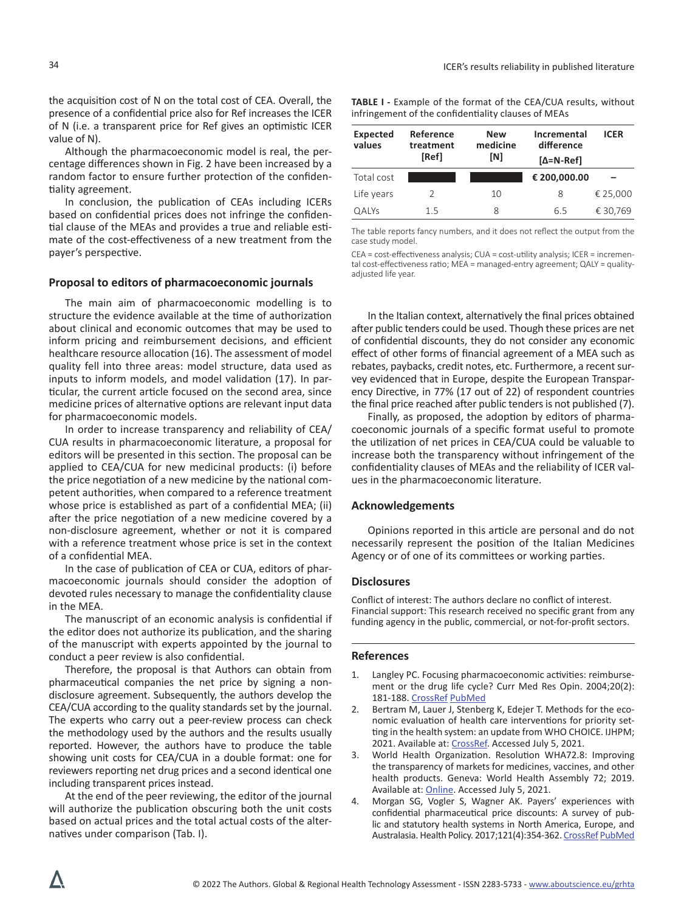the acquisition cost of N on the total cost of CEA. Overall, the presence of a confidential price also for Ref increases the ICER of N (i.e. a transparent price for Ref gives an optimistic ICER value of N).

Although the pharmacoeconomic model is real, the percentage differences shown in Fig. 2 have been increased by a random factor to ensure further protection of the confidentiality agreement.

In conclusion, the publication of CEAs including ICERs based on confidential prices does not infringe the confidential clause of the MEAs and provides a true and reliable estimate of the cost-effectiveness of a new treatment from the payer's perspective.

## **Proposal to editors of pharmacoeconomic journals**

The main aim of pharmacoeconomic modelling is to structure the evidence available at the time of authorization about clinical and economic outcomes that may be used to inform pricing and reimbursement decisions, and efficient healthcare resource allocation (16). The assessment of model quality fell into three areas: model structure, data used as inputs to inform models, and model validation (17). In particular, the current article focused on the second area, since medicine prices of alternative options are relevant input data for pharmacoeconomic models.

In order to increase transparency and reliability of CEA/ CUA results in pharmacoeconomic literature, a proposal for editors will be presented in this section. The proposal can be applied to CEA/CUA for new medicinal products: (i) before the price negotiation of a new medicine by the national competent authorities, when compared to a reference treatment whose price is established as part of a confidential MEA; (ii) after the price negotiation of a new medicine covered by a non-disclosure agreement, whether or not it is compared with a reference treatment whose price is set in the context of a confidential MEA.

In the case of publication of CEA or CUA, editors of pharmacoeconomic journals should consider the adoption of devoted rules necessary to manage the confidentiality clause in the MEA.

The manuscript of an economic analysis is confidential if the editor does not authorize its publication, and the sharing of the manuscript with experts appointed by the journal to conduct a peer review is also confidential.

Therefore, the proposal is that Authors can obtain from pharmaceutical companies the net price by signing a nondisclosure agreement. Subsequently, the authors develop the CEA/CUA according to the quality standards set by the journal. The experts who carry out a peer-review process can check the methodology used by the authors and the results usually reported. However, the authors have to produce the table showing unit costs for CEA/CUA in a double format: one for reviewers reporting net drug prices and a second identical one including transparent prices instead.

At the end of the peer reviewing, the editor of the journal will authorize the publication obscuring both the unit costs based on actual prices and the total actual costs of the alternatives under comparison (Tab. I).

**TABLE I -** Example of the format of the CEA/CUA results, without infringement of the confidentiality clauses of MEAs

| Expected<br>values | Reference<br>treatment<br>[Ref] | <b>New</b><br>medicine<br>[N] | Incremental<br>difference<br>$\mathsf{A}=\mathsf{N}\cdot\mathsf{Ref}$ | <b>ICER</b> |
|--------------------|---------------------------------|-------------------------------|-----------------------------------------------------------------------|-------------|
| Total cost         |                                 |                               | € 200,000.00                                                          |             |
| Life years         | 2                               | 10                            | 8                                                                     | € 25,000    |
| <b>QALYs</b>       | 15                              | 8                             | 6.5                                                                   | € 30,769    |

The table reports fancy numbers, and it does not reflect the output from the case study model.

CEA = cost-effectiveness analysis; CUA = cost-utility analysis; ICER = incremental cost-effectiveness ratio; MEA = managed-entry agreement; QALY = qualityadjusted life year.

In the Italian context, alternatively the final prices obtained after public tenders could be used. Though these prices are net of confidential discounts, they do not consider any economic effect of other forms of financial agreement of a MEA such as rebates, paybacks, credit notes, etc. Furthermore, a recent survey evidenced that in Europe, despite the European Transparency Directive, in 77% (17 out of 22) of respondent countries the final price reached after public tenders is not published (7).

Finally, as proposed, the adoption by editors of pharmacoeconomic journals of a specific format useful to promote the utilization of net prices in CEA/CUA could be valuable to increase both the transparency without infringement of the confidentiality clauses of MEAs and the reliability of ICER values in the pharmacoeconomic literature.

### **Acknowledgements**

Opinions reported in this article are personal and do not necessarily represent the position of the Italian Medicines Agency or of one of its committees or working parties.

#### **Disclosures**

Conflict of interest: The authors declare no conflict of interest. Financial support: This research received no specific grant from any funding agency in the public, commercial, or not-for-profit sectors.

#### **References**

- 1. Langley PC. Focusing pharmacoeconomic activities: reimbursement or the drug life cycle? Curr Med Res Opin. 2004;20(2): 181-188. [CrossRef](https://doi.org/10.1185/030079903125002838) [PubMed](https://www.ncbi.nlm.nih.gov/pubmed/15006012)
- 2. Bertram M, Lauer J, Stenberg K, Edejer T. Methods for the economic evaluation of health care interventions for priority setting in the health system: an update from WHO CHOICE. IJHPM; 2021. Available at: [CrossRef](https://doi.org/10.34172/ijhpm.2020.244). Accessed July 5, 2021.
- 3. World Health Organization. Resolution WHA72.8: Improving the transparency of markets for medicines, vaccines, and other health products. Geneva: World Health Assembly 72; 2019. Available at: [Online](https://apps.who.int/gb/ebwha/pdf_files/WHA72/A72_R8-en.pdf). Accessed July 5, 2021.
- 4. Morgan SG, Vogler S, Wagner AK. Payers' experiences with confidential pharmaceutical price discounts: A survey of public and statutory health systems in North America, Europe, and Australasia. Health Policy. 2017;121(4):354-362. [CrossRef](https://doi.org/10.1016/j.healthpol.2017.02.002) [PubMed](https://www.ncbi.nlm.nih.gov/pubmed/28238340)